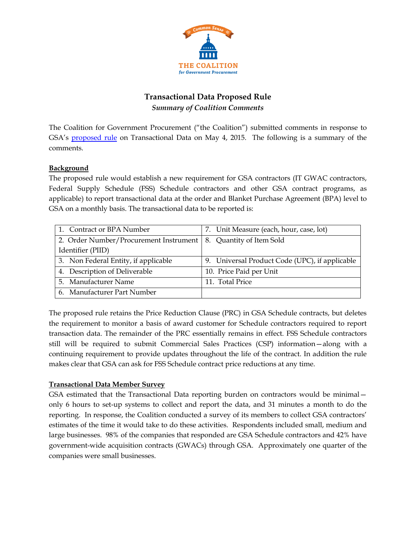

# **Transactional Data Proposed Rule** *Summary of Coalition Comments*

The Coalition for Government Procurement ("the Coalition") submitted comments in response to GSA's [proposed rule](https://www.federalregister.gov/articles/2015/03/04/2015-04349/general-services-administration-acquisition-regulation-gsar-transactional-data-reporting) on Transactional Data on May 4, 2015. The following is a summary of the comments.

## **Background**

The proposed rule would establish a new requirement for GSA contractors (IT GWAC contractors, Federal Supply Schedule (FSS) Schedule contractors and other GSA contract programs, as applicable) to report transactional data at the order and Blanket Purchase Agreement (BPA) level to GSA on a monthly basis. The transactional data to be reported is:

| 1. Contract or BPA Number                                         | 7. Unit Measure (each, hour, case, lot)        |
|-------------------------------------------------------------------|------------------------------------------------|
| 2. Order Number/Procurement Instrument   8. Quantity of Item Sold |                                                |
| Identifier (PIID)                                                 |                                                |
| 3. Non Federal Entity, if applicable                              | 9. Universal Product Code (UPC), if applicable |
| 4. Description of Deliverable                                     | 10. Price Paid per Unit                        |
| 5. Manufacturer Name                                              | 11. Total Price                                |
| 6. Manufacturer Part Number                                       |                                                |

The proposed rule retains the Price Reduction Clause (PRC) in GSA Schedule contracts, but deletes the requirement to monitor a basis of award customer for Schedule contractors required to report transaction data. The remainder of the PRC essentially remains in effect. FSS Schedule contractors still will be required to submit Commercial Sales Practices (CSP) information—along with a continuing requirement to provide updates throughout the life of the contract. In addition the rule makes clear that GSA can ask for FSS Schedule contract price reductions at any time.

## **Transactional Data Member Survey**

GSA estimated that the Transactional Data reporting burden on contractors would be minimal only 6 hours to set-up systems to collect and report the data, and 31 minutes a month to do the reporting. In response, the Coalition conducted a survey of its members to collect GSA contractors' estimates of the time it would take to do these activities. Respondents included small, medium and large businesses. 98% of the companies that responded are GSA Schedule contractors and 42% have government-wide acquisition contracts (GWACs) through GSA. Approximately one quarter of the companies were small businesses.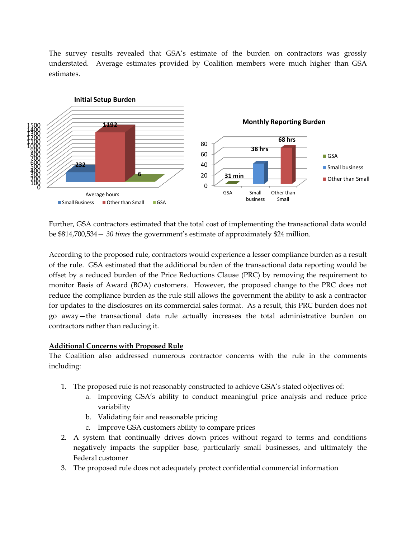The survey results revealed that GSA's estimate of the burden on contractors was grossly understated. Average estimates provided by Coalition members were much higher than GSA estimates.



Further, GSA contractors estimated that the total cost of implementing the transactional data would be \$814,700,534— *30 times* the government's estimate of approximately \$24 million.

According to the proposed rule, contractors would experience a lesser compliance burden as a result of the rule. GSA estimated that the additional burden of the transactional data reporting would be offset by a reduced burden of the Price Reductions Clause (PRC) by removing the requirement to monitor Basis of Award (BOA) customers. However, the proposed change to the PRC does not reduce the compliance burden as the rule still allows the government the ability to ask a contractor for updates to the disclosures on its commercial sales format. As a result, this PRC burden does not go away—the transactional data rule actually increases the total administrative burden on contractors rather than reducing it.

### **Additional Concerns with Proposed Rule**

The Coalition also addressed numerous contractor concerns with the rule in the comments including:

- 1. The proposed rule is not reasonably constructed to achieve GSA's stated objectives of:
	- a. Improving GSA's ability to conduct meaningful price analysis and reduce price variability
	- b. Validating fair and reasonable pricing
	- c. Improve GSA customers ability to compare prices
- 2. A system that continually drives down prices without regard to terms and conditions negatively impacts the supplier base, particularly small businesses, and ultimately the Federal customer
- 3. The proposed rule does not adequately protect confidential commercial information